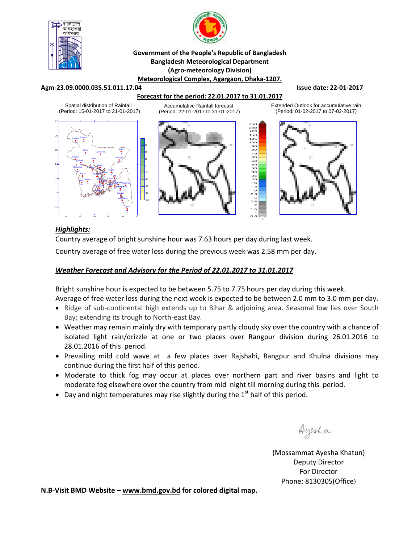



#### **Government of the People's Republic of Bangladesh Bangladesh Meteorological Department (Agro‐meteorology Division) Meteorological Complex, Agargaon, Dhaka‐1207.**

#### **Agm‐23.09.0000.035.51.011.17.04 Issue date: 22‐01‐2017**

## **Forecast for the period: 22.01.2017 to 31.01.2017**

Spatial distribution of Rainfall (Period: 15-01-2017 to 21-01-2017)



Accumulative Rainfall forecast (Period: 22-01-2017 to 31-01-2017)



Extended Outlook for accumulative rain (Period: 01-02-2017 to 07-02-2017)



# *Highlights:*

Country average of bright sunshine hour was 7.63 hours per day during last week.

Country average of free water loss during the previous week was 2.58 mm per day.

## *Weather Forecast and Advisory for the Period of 22.01.2017 to 31.01.2017*

Bright sunshine hour is expected to be between 5.75 to 7.75 hours per day during this week. Average of free water loss during the next week is expected to be between 2.0 mm to 3.0 mm per day.

- Ridge of sub-continental high extends up to Bihar & adjoining area. Seasonal low lies over South Bay; extending its trough to North‐east Bay.
- Weather may remain mainly dry with temporary partly cloudy sky over the country with a chance of isolated light rain/drizzle at one or two places over Rangpur division during 26.01.2016 to 28.01.2016 of this period.
- Prevailing mild cold wave at a few places over Rajshahi, Rangpur and Khulna divisions may continue during the first half of this period.
- Moderate to thick fog may occur at places over northern part and river basins and light to moderate fog elsewhere over the country from mid night till morning during this period.
- Day and night temperatures may rise slightly during the  $1<sup>st</sup>$  half of this period.

Ayesha

(Mossammat Ayesha Khatun) Deputy Director For Director Phone: 8130305(Office)

**N.B‐Visit BMD Website – www.bmd.gov.bd for colored digital map.**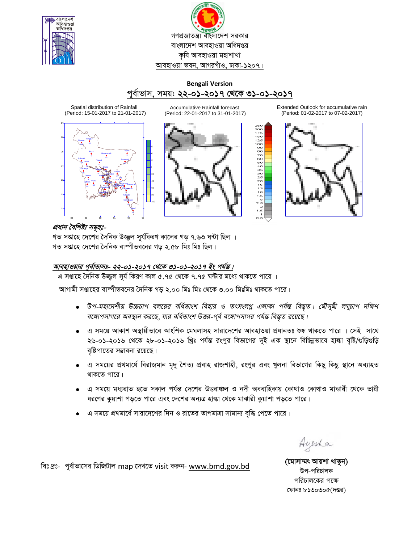

গণপ্রজাতন্ত্রা বাংলাদেশ সরকার বাংলাদেশ আবহাওয়া অধিদপ্তর কৃষি আবহাওয়া মহাশাখা আবহাওয়া ভবন, আগরগাঁও, ঢাকা-১২০৭।

# **Bengali Version** পূৰ্বাভাস, সময়: **২২-০১-২০১৭ থেকে ৩১-০১-২০১৭**

Spatial distribution of Rainfall (Period: 15-01-2017 to 21-01-2017)



Accumulative Rainfall forecast (Period: 22-01-2017 to 31-01-2017)



Extended Outlook for accumulative rain (Period: 01-02-2017 to 07-02-2017)



প্ৰধান বৈশিষ্ট্য সম<del>ূ</del>হঃ-

গত সপ্তাহে দেশের দৈনিক উজ্জল সূর্যকিরণ কালের গড় ৭.৬৩ ঘন্টা ছিল । গত সপ্তাহে দেশের দৈনিক বাষ্পীভবনের গড় ২.৫৮ মিঃ মিঃ ছিল।

# <u>আবহাওয়ার পূর্বাভাসঃ- ২২-০১-২০১৭ থেকে ৩১-০১-২০১৭ ইং পর্যন্ত।</u>

এ সপ্তাহে দৈনিক উজ্জুল সূর্য কিরণ কাল ৫.৭৫ থেকে ৭.৭৫ ঘন্টার মধ্যে থাকতে পারে ।

আগামী সপ্তাহের বাষ্পীভবনের দৈনিক গড় ২.০০ মিঃ মিঃ থেকে ৩.০০ মিঃমিঃ থাকতে পারে।

- $\bullet$  উপ-মহাদেশীয় উচ্চচাপ বলয়ের বর্ধিতাংশ বিহার ও তৎসংলগ্ন এলাকা পর্যন্ত বিস্তৃত। মৌসুমী লঘুচাপ দক্ষিণ *বঙ্গোপসাগরে অবস্থান করছে, যার বর্ধিতাংশ উত্তর-পূর্ব বঙ্গোপসাগর পর্যন্ত বিস্তৃত রয়েছে।*
- এ সময়ে আকাশ অস্থায়ীভাবে আংশিক মেঘলাসহ সারাদেশের আবহাওয়া প্রধানতঃ শুষ্ক থাকতে পারে । সেই সাথে ২৬-০১-২০১৬ থেকে ২৮-০১-২০১৬ খ্রিঃ পর্যন্ত রংপুর বিভাগের দুই এক স্থানে বিছিন্নভাবে হাল্কা বৃষ্টি/গুড়িগুড়ি বৃষ্টিপাতের সম্ভাবনা রয়েছে।
- এ সময়ের প্রথমার্ধে বিরাজমান মৃদু শৈত্য প্রবাহ রাজশাহী, রংপুর এবং খুলনা বিভাগের কিছু কিছু স্থানে অব্যাহত থাকতে পারে।
- এ সময়ে মধ্যরাত হতে সকাল পর্যন্ত দেশের উত্তরাঞ্চল ও নদী অববাহিকায় কোথাও কোথাও মাঝারী থেকে ভারী ধরণের কুয়াশা পড়তে পারে এবং দেশের অন্যত্র হাল্কা থেকে মাঝারী কুয়াশা পড়তে পারে।
- এ সময়ে প্রথমার্ধে সারাদেশের দিন ও রাতের তাপমাত্রা সামান্য বৃদ্ধি পেতে পারে।

Ayesha

উপ-পরিচালক পরিচালকের পক্ষে ফোনঃ  $b$ ১৩০৩০ $c($ দপ্তর)

wet `ªt- c~e©vfv‡mi wWwRUvj map ‡`L‡Z visit Kiæb- www.bmd.gov.bd **(‡gvmv¤§r Avqkv LvZzb)**